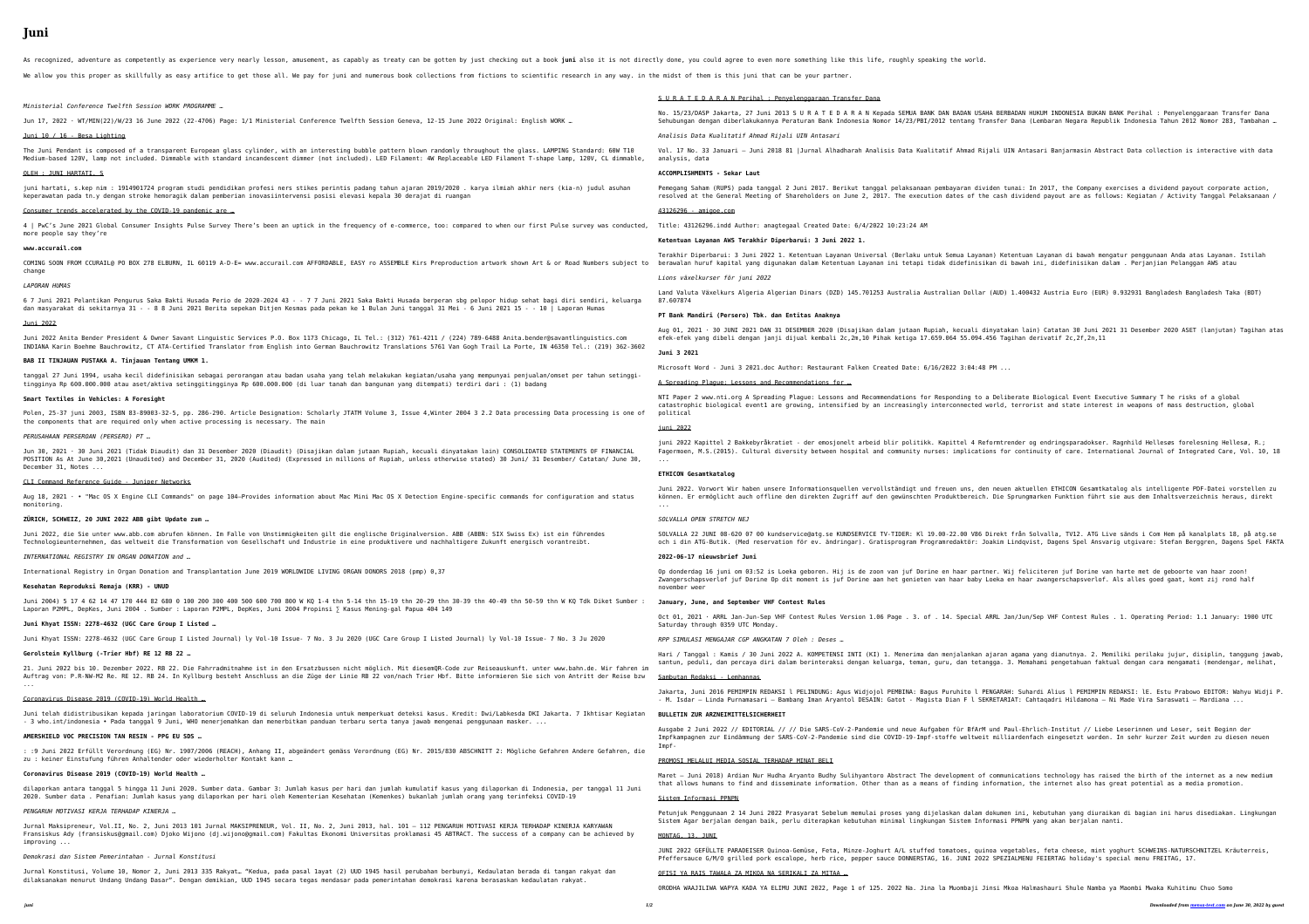## **Juni**

As recognized, adventure as competently as experience very nearly lesson, amusement, as capably as treaty can be gotten by just checking out a book juni also it is not directly done, you could agree to even more something We allow you this proper as skillfully as easy artifice to get those all. We pay for juni and numerous book collections from fictions to scientific research in any way. in the midst of them is this juni that can be your pa

Jun 17, 2022 · WT/MIN(22)/W/23 16 June 2022 (22-4706) Page: 1/1 Ministerial Conference Twelfth Session Geneva, 12-15 June 2022 Oric Juni 10 / 16 - Besa Lighting

The Juni Pendant is composed of a transparent European glass cylinder, with an interesting bubble pattern blown randomly throughout Medium-based 120V, lamp not included. Dimmable with standard incandescent dimmer (not included). LED Filament: 4W Replaceable LED OLEH : JUNI HARTATI, S

*Ministerial Conference Twelfth Session WORK PROGRAMME …*

juni hartati, s.kep nim : 1914901724 program studi pendidikan profesi ners stikes perintis padang tahun ajaran 2019/2020 . karya il keperawatan pada tn.y dengan stroke hemoragik dalam pemberian inovasiintervensi posisi elevasi kepala 30 derajat di ruangan

4 | PwC's June 2021 Global Consumer Insights Pulse Survey There's been an uptick in the frequency of e-commerce, too: compared to more people say they're

COMING SOON FROM CCURAIL@ PO BOX 278 ELBURN, IL 60119 A-D-E= www.accurail.com AFFORDABLE, EASY ro ASSEMBLE Kirs Preproduction artwo change

6 7 Juni 2021 Pelantikan Pengurus Saka Bakti Husada Perio de 2020-2024 43 - - 7 7 Juni 2021 Saka Bakti Husada berperan sbg pelopor dan masyarakat di sekitarnya 31 - - 8 8 Juni 2021 Berita sepekan Ditjen Kesmas pada pekan ke 1 Bulan Juni tanggal 31 Mei - 6 Juni Juni 2022

Juni 2022 Anita Bender President & Owner Savant Linguistic Services P.O. Box 1173 Chicago, IL Tel.: (312) 761-4211 / (224) 789-6488 INDIANA Karin Boehme Bauchrowitz, CT ATA-Certified Translator from English into German Bauchrowitz Translations 5761 Van Gogh Trai **BAB II TINJAUAN PUSTAKA A. Tinjauan Tentang UMKM 1.**

tanggal 27 Juni 1994, usaha kecil didefinisikan sebagai perorangan atau badan usaha yang telah melakukan kegiatan/usaha yang mempur tingginya Rp 600.000.000 atau aset/aktiva setinggitingginya Rp 600.000.000 (di luar tanah dan bangunan yang ditempati) terdiri dar:

Consumer trends accelerated by the COVID-19 pandemic are …

Polen, 25-37 juni 2003, ISBN 83-89003-32-5, pp. 286-290. Article Designation: Scholarly JTATM Volume 3, Issue 4,Winter 2004 3 2.2 the components that are required only when active processing is necessary. The main

**www.accurail.com**

Jun 30, 2021 · 30 Juni 2021 (Tidak Diaudit) dan 31 Desember 2020 (Diaudit) (Disajikan dalam jutaan Rupiah, kecuali dinyatakan lain) POSITION As At June 30,2021 (Unaudited) and December 31, 2020 (Audited) (Expressed in millions of Rupiah, unless otherwise stated) December 31, Notes ...

*LAPORAN HUMAS*

Aug 18, 2021  $\cdot$  • "Mac OS X Engine CLI Commands" on page 104-Provides information about Mac Mini Mac OS X Detection Engine-specific monitoring.

Juni 2004) 5 17 4 62 14 47 170 444 82 680 0 100 200 300 400 500 600 700 800 W KQ 1-4 thn 5-14 thn 15-19 thn 20-29 thn 30-39 thn 40-Laporan P2MPL, DepKes, Juni 2004 . Sumber : Laporan P2MPL, DepKes, Juni 2004 Propinsi ∑ Kasus Mening-gal Papua 404 149

21. Juni 2022 bis 10. Dezember 2022. RB 22. Die Fahrradmitnahme ist in den Ersatzbussen nicht möglich. Mit diesemQR-Code zur Reisea Auftrag von: P.R-NW-M2 Re. RE 12. RB 24. In Kyllburg besteht Anschluss an die Züge der Linie RB 22 von/nach Trier Hbf. Bitte inform ...

**Smart Textiles in Vehicles: A Foresight**

: :9 Juni 2022 Erfüllt Verordnung (EG) Nr. 1907/2006 (REACH), Anhang II, abgeändert gemäss Verordnung (EG) Nr. 2015/830 ABSCHNITT zu : keiner Einstufung führen Anhaltender oder wiederholter Kontakt kann …

*PERUSAHAAN PERSEROAN (PERSERO) PT …*

Jurnal Maksipreneur, Vol.II, No. 2, Juni 2013 101 Jurnal MAKSIPRENEUR, Vol. II, No. 2, Juni 2013, hal. 101 - 112 PENGARUH MOTIVASI Fransiskus Ady (fransiskus@gmail.com) Djoko Wijono (dj.wijono@gmail.com) Fakultas Ekonomi Universitas proklamasi 45 ABTRACT. The su improving ...

CLI Command Reference Guide - Juniper Networks

**ZÜRICH, SCHWEIZ, 20 JUNI 2022 ABB gibt Update zum …**

Juni 2022, die Sie unter www.abb.com abrufen können. Im Falle von Unstimmigkeiten gilt die englische Originalversion. ABB (ABBN: SI Technologieunternehmen, das weltweit die Transformation von Gesellschaft und Industrie in eine produktivere und nachhaltigere Zukur

*INTERNATIONAL REGISTRY IN ORGAN DONATION and …*

International Registry in Organ Donation and Transplantation June 2019 WORLDWIDE LIVING ORGAN DONORS 2018 (pmp) 0,37

**Kesehatan Reproduksi Remaja (KRR) - UNUD**

**Juni Khyat ISSN: 2278-4632 (UGC Care Group I Listed …**

Juni Khyat ISSN: 2278-4632 (UGC Care Group I Listed Journal) ly Vol-10 Issue- 7 No. 3 Ju 2020 (UGC Care Group I Listed Journal) ly Vol-10 Issue- 7 No. 3 Ju 2020

**Gerolstein Kyllburg (-Trier Hbf) RE 12 RB 22 …**

Coronavirus Disease 2019 (COVID-19) World Health …

Juni telah didistribusikan kepada jaringan laboratorium COVID-19 di seluruh Indonesia untuk memperkuat deteksi kasus. Kredit: Dwi/I - 3 who.int/indonesia • Pada tanggal 9 Juni, WHO menerjemahkan dan menerbitkan panduan terbaru serta tanya jawab mengenai penggunaa

**AMERSHIELD VOC PRECISION TAN RESIN - PPG EU SDS …**

**Coronavirus Disease 2019 (COVID-19) World Health …**

dilaporkan antara tanggal 5 hingga 11 Juni 2020. Sumber data. Gambar 3: Jumlah kasus per hari dan jumlah kumulatif kasus yang dilap 2020. Sumber data . Penafian: Jumlah kasus yang dilaporkan per hari oleh Kementerian Kesehatan (Kemenkes) bukanlah jumlah orang yar

*PENGARUH MOTIVASI KERJA TERHADAP KINERJA …*

noa vegetables, feta cheese, mint yoghurt SCHWEINS-NATURSCHNITZEL Kräuterreis, Pfeffersauce G/M/O grilled pork escalope, herb rice, pepper sauce DONNERSTAG, 16. JUNI 2022 SPEZIALMENU FEIERTAG holiday's special menu FREITAG, 17.

## *Demokrasi dan Sistem Pemerintahan - Jurnal Konstitusi*

Jurnal Konstitusi, Volume 10, Nomor 2, Juni 2013 335 Rakyat… "Kedua, pada pasal 1ayat (2) UUD 1945 hasil perubahan berbunyi, Kedaulatan berada di tangan rakyat dan dilaksanakan menurut Undang Undang Dasar". Dengan demikian, UUD 1945 secara tegas mendasar pada pemerintahan demokrasi karena berasaskan kedaulatan rakyat.

|                                                                                         | S U R A T E D A R A N Perihal : Penyelenggaraan Transfer Dana                                                                                                                                                                                                                                                                                                                      |
|-----------------------------------------------------------------------------------------|------------------------------------------------------------------------------------------------------------------------------------------------------------------------------------------------------------------------------------------------------------------------------------------------------------------------------------------------------------------------------------|
| ginal: English WORK …                                                                   | No. 15/23/DASP Jakarta, 27 Juni 2013 S U R A T E D A R A N Kepada SEMUA BANK DAN BADAN USAHA BERBADAN HUKUM INDONESIA BUKAN BANK Perihal : Penyelenggaraan Transfer Dana<br>Sehubungan dengan diberlakukannya Peraturan Bank Indonesia Nomor 14/23/PBI/2012 tentang Transfer Dana (Lembaran Negara Republik Indonesia Tahun 2012 Nomor 283, Tambahan                               |
|                                                                                         | Analisis Data Kualitatif Ahmad Rijali UIN Antasari                                                                                                                                                                                                                                                                                                                                 |
| t the glass. LAMPING Standard: 60W T10<br>Filament T-shape lamp, 120V, CL dimmable,     | Vol. 17 No. 33 Januari - Juni 2018 81  Jurnal Alhadharah Analisis Data Kualitatif Ahmad Rijali UIN Antasari Banjarmasin Abstract Data collection is interactive with data<br>analysis, data                                                                                                                                                                                        |
|                                                                                         | ACCOMPLISHMENTS - Sekar Laut                                                                                                                                                                                                                                                                                                                                                       |
| lmiah akhir ners (kia-n) judul asuhan                                                   | Pemegang Saham (RUPS) pada tanggal 2 Juni 2017. Berikut tanggal pelaksanaan pembayaran dividen tunai: In 2017, the Company exercises a dividend payout corporate action,<br>resolved at the General Meeting of Shareholders on June 2, 2017. The execution dates of the cash dividend payout are as follows: Kegiatan / Activity Tanggal Pelaksanaan /                             |
|                                                                                         | 43126296 - amigoe.com                                                                                                                                                                                                                                                                                                                                                              |
| when our first Pulse survey was conducted,                                              | Title: 43126296.indd Author: anagtegaal Created Date: 6/4/2022 10:23:24 AM                                                                                                                                                                                                                                                                                                         |
|                                                                                         | Ketentuan Layanan AWS Terakhir Diperbarui: 3 Juni 2022 1.                                                                                                                                                                                                                                                                                                                          |
| ork shown Art & or Road Numbers subject to                                              | Terakhir Diperbarui: 3 Juni 2022 1. Ketentuan Layanan Universal (Berlaku untuk Semua Layanan) Ketentuan Layanan di bawah mengatur penggunaan Anda atas Layanan. Istilah<br>berawalan huruf kapital yang digunakan dalam Ketentuan Layanan ini tetapi tidak didefinisikan di bawah ini, didefinisikan dalam . Perjanjian Pelanggan AWS atau                                         |
|                                                                                         | Lions växelkurser för juni 2022                                                                                                                                                                                                                                                                                                                                                    |
| hidup sehat bagi diri sendiri, keluarga<br>2021 15 - - 10   Laporan Humas               | Land Valuta Växelkurs Algeria Algerian Dinars (DZD) 145.701253 Australia Australian Dollar (AUD) 1.400432 Austria Euro (EUR) 0.932931 Bangladesh Bangladesh Taka (BDT)<br>87.607874                                                                                                                                                                                                |
|                                                                                         | PT Bank Mandiri (Persero) Tbk. dan Entitas Anaknya                                                                                                                                                                                                                                                                                                                                 |
| 8 Anita.bender@savantlinguistics.com<br>l La Porte, IN 46350 Tel.: (219) 362-3602       | Aug 01, 2021 · 30 JUNI 2021 DAN 31 DESEMBER 2020 (Disajikan dalam jutaan Rupiah, kecuali dinyatakan lain) Catatan 30 Juni 2021 31 Desember 2020 ASET (lanjutan) Tagihan atas<br>efek-efek yang dibeli dengan janji dijual kembali 2c,2m,10 Pihak ketiga 17.659.064 55.094.456 Tagihan derivatif 2c,2f,2n,11                                                                        |
|                                                                                         | Juni 3 2021                                                                                                                                                                                                                                                                                                                                                                        |
| nyai penjualan/omset per tahun setinggi-<br>i : (1) badang                              | Microsoft Word - Juni 3 2021.doc Author: Restaurant Falken Created Date: 6/16/2022 3:04:48 PM                                                                                                                                                                                                                                                                                      |
|                                                                                         | A Spreading Plague: Lessons and Recommendations for                                                                                                                                                                                                                                                                                                                                |
| Data processing Data processing is one of                                               | NTI Paper 2 www.nti.org A Spreading Plague: Lessons and Recommendations for Responding to a Deliberate Biological Event Executive Summary T he risks of a global<br>catastrophic biological event1 are growing, intensified by an increasingly interconnected world, terrorist and state interest in weapons of mass destruction, global<br>political                              |
|                                                                                         | juni 2022                                                                                                                                                                                                                                                                                                                                                                          |
| ) CONSOLIDATED STATEMENTS OF FINANCIAL<br>30 Juni/ 31 Desember/ Catatan/ June 30,       | juni 2022 Kapittel 2 Bakkebyråkratiet - der emosjonelt arbeid blir politikk. Kapittel 4 Reformtrender og endringsparadokser. Ragnhild Hellesøs forelesning Hellesø, R.;<br>Fagermoen, M.S.(2015). Cultural diversity between hospital and community nurses: implications for continuity of care. International Journal of Integrated Care, Vol. 10, 18<br>$\sim 100$ km s $^{-1}$  |
|                                                                                         | <b>ETHICON Gesamtkatalog</b>                                                                                                                                                                                                                                                                                                                                                       |
| commands for configuration and status                                                   | Juni 2022. Vorwort Wir haben unsere Informationsquellen vervollständigt und freuen uns, den neuen aktuellen ETHICON Gesamtkatalog als intelligente PDF-Datei vorstellen zu<br>können. Er ermöglicht auch offline den direkten Zugriff auf den gewünschten Produktbereich. Die Sprungmarken Funktion führt sie aus dem Inhaltsverzeichnis heraus, direkt<br>$\sim 100$ km s $^{-1}$ |
|                                                                                         | SOLVALLA OPEN STRETCH NEJ                                                                                                                                                                                                                                                                                                                                                          |
| IX Swiss Ex) ist ein führendes<br>nft energisch vorantreibt.                            | SOLVALLA 22 JUNI 08-620 07 00 kundservice@atg.se KUNDSERVICE TV-TIDER: Kl 19.00-22.00 V86 Direkt från Solvalla, TV12. ATG Live sänds i Com Hem på kanalplats 18, på atg.se<br>och i din ATG-Butik. (Med reservation för ev. ändringar). Gratisprogram Programredaktör: Joakim Lindgvist, Dagens Spel Ansvarig utgivare: Stefan Berggren, Dagens Spel FAKTA                         |
|                                                                                         | 2022-06-17 nieuwsbrief Juni                                                                                                                                                                                                                                                                                                                                                        |
|                                                                                         | Op donderdag 16 juni om 03:52 is Loeka geboren. Hij is de zoon van juf Dorine en haar partner. Wij feliciteren juf Dorine van harte met de geboorte van haar zoon!<br>Zwangerschapsverlof juf Dorine Op dit moment is juf Dorine aan het genieten van haar baby Loeka en haar zwangerschapsverlof. Als alles goed gaat, komt zij rond half<br>november weer                        |
| -49 thn 50-59 thn W KQ Tdk Diket Sumber :                                               | January, June, and September VHF Contest Rules                                                                                                                                                                                                                                                                                                                                     |
|                                                                                         | Oct 01, 2021 · ARRL Jan-Jun-Sep VHF Contest Rules Version 1.06 Page . 3. of . 14. Special ARRL Jan/Jun/Sep VHF Contest Rules . 1. Operating Period: 1.1 January: 1900 UTC<br>Saturday through 0359 UTC Monday.                                                                                                                                                                     |
| Vol-10 Issue- 7 No. 3 Ju 2020                                                           | RPP SIMULASI MENGAJAR CGP ANGKATAN 7 Oleh : Deses                                                                                                                                                                                                                                                                                                                                  |
| auskunft, unter www.bahn.de. Wir fahren im<br>mieren Sie sich von Antritt der Reise bzw | Hari / Tanggal : Kamis / 30 Juni 2022 A. KOMPETENSI INTI (KI) 1. Menerima dan menjalankan ajaran agama yang dianutnya. 2. Memiliki perilaku jujur, disiplin, tanggung jawab,<br>santun, peduli, dan percaya diri dalam berinteraksi dengan keluarga, teman, guru, dan tetangga. 3. Memahami pengetahuan faktual dengan cara mengamati (mendengar, melihat,                         |
|                                                                                         | Sambutan Redaksi - Lemhannas                                                                                                                                                                                                                                                                                                                                                       |
|                                                                                         | Jakarta, Juni 2016 PEMIMPIN REDAKSI l PELINDUNG: Agus Widjojol PEMBINA: Bagus Puruhito l PENGARAH: Suhardi Alius l PEMIMPIN REDAKSI: lE. Estu Prabowo EDITOR: Wahyu Widji P.<br>- M. Isdar - Linda Purnamasari - Bambang Iman Aryantol DESAIN: Gatot - Magista Dian F l SEKRETARIAT: Cahtaqadri Hildamona - Ni Made Vira Saraswati - Mardiana                                      |
| Labkesda DKI Jakarta. 7 Ikhtisar Kegiatan<br>an masker.                                 | BULLETIN ZUR ARZNEIMITTELSICHERHEIT                                                                                                                                                                                                                                                                                                                                                |
| 2: Mögliche Gefahren Andere Gefahren, die                                               | Ausgabe 2 Juni 2022 // EDITORIAL // // Die SARS-CoV-2-Pandemie und neue Aufgaben für BfArM und Paul-Ehrlich-Institut // Liebe Leserinnen und Leser, seit Beginn der<br>Impfkampagnen zur Eindämmung der SARS-CoV-2-Pandemie sind die COVID-19-Impf-stoffe weltweit milliardenfach eingesetzt worden. In sehr kurzer Zeit wurden zu diesen neuen<br>Impf-                           |
|                                                                                         | PROMOSI MELALUI MEDIA SOSIAL TERHADAP MINAT BELI                                                                                                                                                                                                                                                                                                                                   |
| porkan di Indonesia, per tanggal 11 Juni<br>ng terinfeksi COVID-19                      | Maret - Juni 2018) Ardian Nur Hudha Aryanto Budhy Sulihyantoro Abstract The development of communications technology has raised the birth of the internet as a new medium<br>that allows humans to find and disseminate information. Other than as a means of finding information, the internet also has great potential as a media promotion.                                     |
|                                                                                         | Sistem Informasi PPNPN                                                                                                                                                                                                                                                                                                                                                             |
| KERJA TERHADAP KINERJA KARYAWAN<br>uccess of a company can be achieved by               | Petunjuk Penggunaan 2 14 Juni 2022 Prasyarat Sebelum memulai proses yang dijelaskan dalam dokumen ini, kebutuhan yang diuraikan di bagian ini harus disediakan. Lingkungan<br>Sistem Agar berjalan dengan baik, perlu diterapkan kebutuhan minimal lingkungan Sistem Informasi PPNPN yang akan berjalan nanti.                                                                     |
|                                                                                         | MONTAG, 13. JUNI                                                                                                                                                                                                                                                                                                                                                                   |
|                                                                                         | JUNI 2022 GEFÜLLTE PARADEISER Quinoa-Gemüse, Feta, Minze-Joghurt A/L stuffed tomatoes, quinoa vegetables, feta cheese, mint yoghurt SCHWEINS-NATURSCHNITZEL Kräuterreis,                                                                                                                                                                                                           |

OFISI YA RAIS TAWALA ZA MIKOA NA SERIKALI ZA MITAA …

ORODHA WAAJILIWA WAPYA KADA YA ELIMU JUNI 2022, Page 1 of 125. 2022 Na. Jina la Muombaji Jinsi Mkoa Halmashauri Shule Namba ya Maombi Mwaka Kuhitimu Chuo Somo